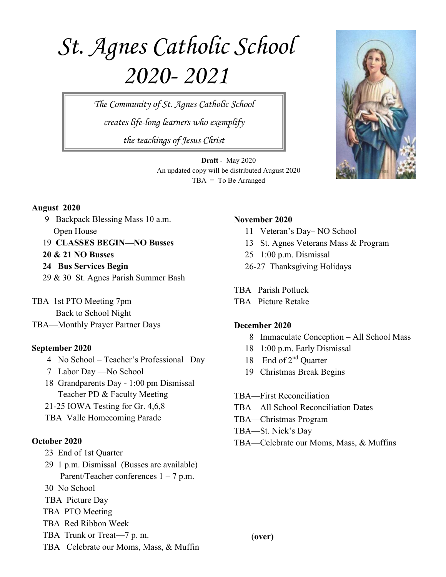# *St. Agnes Catholic School 2020- 2021*

*The Community of St. Agnes Catholic School creates life-long learners who exemplify the teachings of Jesus Christ*

> **Draft** - May 2020 An updated copy will be distributed August 2020 TBA = To Be Arranged



#### **August 2020**

 9 Backpack Blessing Mass 10 a.m. Open House

19 **CLASSES BEGIN—NO Busses**

- **20 & 21 NO Busses**
- **24 Bus Services Begin**
- 29 & 30 St. Agnes Parish Summer Bash

TBA 1st PTO Meeting 7pm Back to School Night

TBA—Monthly Prayer Partner Days

## **September 2020**

- 4 No School Teacher's Professional Day
- 7 Labor Day —No School
- 18 Grandparents Day 1:00 pm Dismissal Teacher PD & Faculty Meeting
- 21-25 IOWA Testing for Gr. 4,6,8
- TBA Valle Homecoming Parade

## **October 2020**

- 23 End of 1st Quarter
- 29 1 p.m. Dismissal (Busses are available) Parent/Teacher conferences 1 – 7 p.m.
- 30 No School
- TBA Picture Day
- TBA PTO Meeting
- TBA Red Ribbon Week
- TBA Trunk or Treat—7 p. m.
- TBA Celebrate our Moms, Mass, & Muffin

## **November 2020**

- 11 Veteran's Day– NO School
- 13 St. Agnes Veterans Mass & Program
- 25 1:00 p.m. Dismissal
- 26-27 Thanksgiving Holidays

TBA Parish Potluck

TBA Picture Retake

## **December 2020**

- 8 Immaculate Conception All School Mass
- 18 1:00 p.m. Early Dismissal
- 18 End of 2<sup>nd</sup> Quarter
- 19 Christmas Break Begins
- TBA—First Reconciliation
- TBA—All School Reconciliation Dates
- TBA—Christmas Program
- TBA—St. Nick's Day
- TBA—Celebrate our Moms, Mass, & Muffins

(**over)**